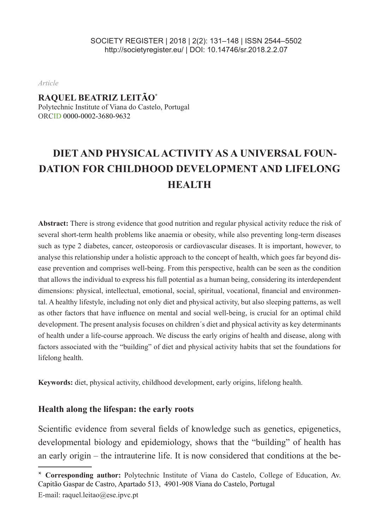*Article*

#### **RAQUEL BEATRIZ LEITÃO\***

Polytechnic Institute of Viana do Castelo, Portugal ORCID 0000-0002-3680-9632

# **DIET AND PHYSICAL ACTIVITY AS A UNIVERSAL FOUN-DATION FOR CHILDHOOD DEVELOPMENT AND LIFELONG HEALTH**

**Abstract:** There is strong evidence that good nutrition and regular physical activity reduce the risk of several short-term health problems like anaemia or obesity, while also preventing long-term diseases such as type 2 diabetes, cancer, osteoporosis or cardiovascular diseases. It is important, however, to analyse this relationship under a holistic approach to the concept of health, which goes far beyond disease prevention and comprises well-being. From this perspective, health can be seen as the condition that allows the individual to express his full potential as a human being, considering its interdependent dimensions: physical, intellectual, emotional, social, spiritual, vocational, financial and environmental. A healthy lifestyle, including not only diet and physical activity, but also sleeping patterns, as well as other factors that have influence on mental and social well-being, is crucial for an optimal child development. The present analysis focuses on children´s diet and physical activity as key determinants of health under a life-course approach. We discuss the early origins of health and disease, along with factors associated with the "building" of diet and physical activity habits that set the foundations for lifelong health.

**Keywords:** diet, physical activity, childhood development, early origins, lifelong health.

#### **Health along the lifespan: the early roots**

Scientific evidence from several fields of knowledge such as genetics, epigenetics, developmental biology and epidemiology, shows that the "building" of health has an early origin – the intrauterine life. It is now considered that conditions at the be-

<sup>\*</sup> **Corresponding author:** Polytechnic Institute of Viana do Castelo, College of Education, Av. Capitão Gaspar de Castro, Apartado 513, 4901-908 Viana do Castelo, Portugal E-mail: raquel.leitao@ese.ipvc.pt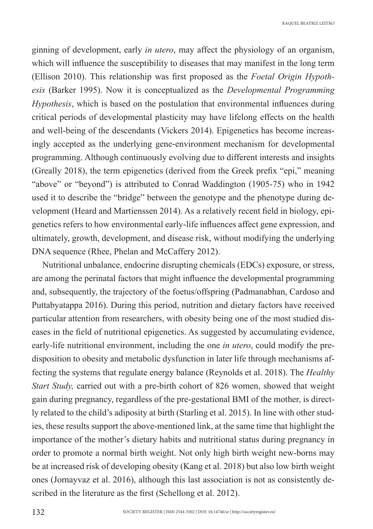ginning of development, early *in utero*, may affect the physiology of an organism, which will influence the susceptibility to diseases that may manifest in the long term (Ellison 2010). This relationship was first proposed as the *Foetal Origin Hypothesis* (Barker 1995). Now it is conceptualized as the *Developmental Programming Hypothesis*, which is based on the postulation that environmental influences during critical periods of developmental plasticity may have lifelong effects on the health and well-being of the descendants (Vickers 2014). Epigenetics has become increasingly accepted as the underlying gene-environment mechanism for developmental programming. Although continuously evolving due to different interests and insights (Greally 2018), the term epigenetics (derived from the Greek prefix "epi," meaning "above" or "beyond") is attributed to Conrad Waddington (1905-75) who in 1942 used it to describe the "bridge" between the genotype and the phenotype during development (Heard and Martienssen 2014). As a relatively recent field in biology, epigenetics refers to how environmental early-life influences affect gene expression, and ultimately, growth, development, and disease risk, without modifying the underlying DNA sequence (Rhee, Phelan and McCaffery 2012).

Nutritional unbalance, endocrine disrupting chemicals (EDCs) exposure, or stress, are among the perinatal factors that might influence the developmental programming and, subsequently, the trajectory of the foetus/offspring (Padmanabhan, Cardoso and Puttabyatappa 2016). During this period, nutrition and dietary factors have received particular attention from researchers, with obesity being one of the most studied diseases in the field of nutritional epigenetics. As suggested by accumulating evidence, early-life nutritional environment, including the one *in utero*, could modify the predisposition to obesity and metabolic dysfunction in later life through mechanisms affecting the systems that regulate energy balance (Reynolds et al. 2018). The *Healthy Start Study,* carried out with a pre-birth cohort of 826 women, showed that weight gain during pregnancy, regardless of the pre-gestational BMI of the mother, is directly related to the child's adiposity at birth (Starling et al. 2015). In line with other studies, these results support the above-mentioned link, at the same time that highlight the importance of the mother's dietary habits and nutritional status during pregnancy in order to promote a normal birth weight. Not only high birth weight new-borns may be at increased risk of developing obesity (Kang et al. 2018) but also low birth weight ones (Jornayvaz et al. 2016), although this last association is not as consistently described in the literature as the first (Schellong et al. 2012).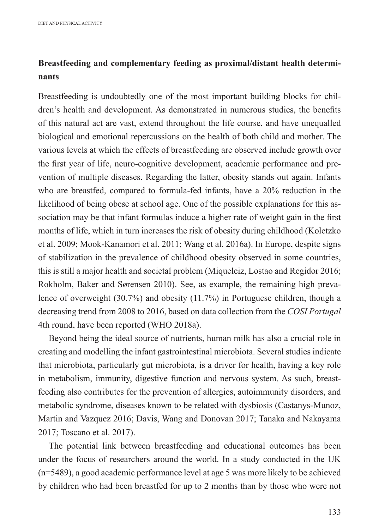## **Breastfeeding and complementary feeding as proximal/distant health determinants**

Breastfeeding is undoubtedly one of the most important building blocks for children's health and development. As demonstrated in numerous studies, the benefits of this natural act are vast, extend throughout the life course, and have unequalled biological and emotional repercussions on the health of both child and mother. The various levels at which the effects of breastfeeding are observed include growth over the first year of life, neuro-cognitive development, academic performance and prevention of multiple diseases. Regarding the latter, obesity stands out again. Infants who are breastfed, compared to formula-fed infants, have a 20% reduction in the likelihood of being obese at school age. One of the possible explanations for this association may be that infant formulas induce a higher rate of weight gain in the first months of life, which in turn increases the risk of obesity during childhood (Koletzko et al. 2009; Mook-Kanamori et al. 2011; Wang et al. 2016a). In Europe, despite signs of stabilization in the prevalence of childhood obesity observed in some countries, this is still a major health and societal problem (Miqueleiz, Lostao and Regidor 2016; Rokholm, Baker and Sørensen 2010). See, as example, the remaining high prevalence of overweight (30.7%) and obesity (11.7%) in Portuguese children, though a decreasing trend from 2008 to 2016, based on data collection from the *COSI Portugal* 4th round, have been reported (WHO 2018a).

Beyond being the ideal source of nutrients, human milk has also a crucial role in creating and modelling the infant gastrointestinal microbiota. Several studies indicate that microbiota, particularly gut microbiota, is a driver for health, having a key role in metabolism, immunity, digestive function and nervous system. As such, breastfeeding also contributes for the prevention of allergies, autoimmunity disorders, and metabolic syndrome, diseases known to be related with dysbiosis (Castanys-Munoz, Martin and Vazquez 2016; Davis, Wang and Donovan 2017; Tanaka and Nakayama 2017; Toscano et al. 2017).

The potential link between breastfeeding and educational outcomes has been under the focus of researchers around the world. In a study conducted in the UK (n=5489), a good academic performance level at age 5 was more likely to be achieved by children who had been breastfed for up to 2 months than by those who were not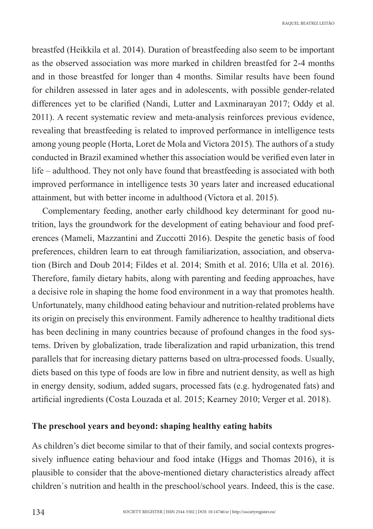breastfed (Heikkila et al. 2014). Duration of breastfeeding also seem to be important as the observed association was more marked in children breastfed for 2-4 months and in those breastfed for longer than 4 months. Similar results have been found for children assessed in later ages and in adolescents, with possible gender-related differences yet to be clarified (Nandi, Lutter and Laxminarayan 2017; Oddy et al. 2011). A recent systematic review and meta-analysis reinforces previous evidence, revealing that breastfeeding is related to improved performance in intelligence tests among young people (Horta, Loret de Mola and Victora 2015). The authors of a study conducted in Brazil examined whether this association would be verified even later in life – adulthood. They not only have found that breastfeeding is associated with both improved performance in intelligence tests 30 years later and increased educational attainment, but with better income in adulthood (Victora et al. 2015).

Complementary feeding, another early childhood key determinant for good nutrition, lays the groundwork for the development of eating behaviour and food preferences (Mameli, Mazzantini and Zuccotti 2016). Despite the genetic basis of food preferences, children learn to eat through familiarization, association, and observation (Birch and Doub 2014; Fildes et al. 2014; Smith et al. 2016; Ulla et al. 2016). Therefore, family dietary habits, along with parenting and feeding approaches, have a decisive role in shaping the home food environment in a way that promotes health. Unfortunately, many childhood eating behaviour and nutrition-related problems have its origin on precisely this environment. Family adherence to healthy traditional diets has been declining in many countries because of profound changes in the food systems. Driven by globalization, trade liberalization and rapid urbanization, this trend parallels that for increasing dietary patterns based on ultra-processed foods. Usually, diets based on this type of foods are low in fibre and nutrient density, as well as high in energy density, sodium, added sugars, processed fats (e.g. hydrogenated fats) and artificial ingredients (Costa Louzada et al. 2015; Kearney 2010; Verger et al. 2018).

#### **The preschool years and beyond: shaping healthy eating habits**

As children's diet become similar to that of their family, and social contexts progressively influence eating behaviour and food intake (Higgs and Thomas 2016), it is plausible to consider that the above-mentioned dietary characteristics already affect children´s nutrition and health in the preschool/school years. Indeed, this is the case.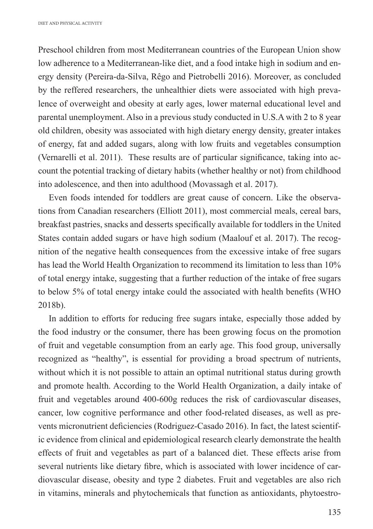Preschool children from most Mediterranean countries of the European Union show low adherence to a Mediterranean-like diet, and a food intake high in sodium and energy density (Pereira-da-Silva, Rêgo and Pietrobelli 2016). Moreover, as concluded by the reffered researchers, the unhealthier diets were associated with high prevalence of overweight and obesity at early ages, lower maternal educational level and parental unemployment. Also in a previous study conducted in U.S.A with 2 to 8 year old children, obesity was associated with high dietary energy density, greater intakes of energy, fat and added sugars, along with low fruits and vegetables consumption (Vernarelli et al. 2011). These results are of particular significance, taking into account the potential tracking of dietary habits (whether healthy or not) from childhood into adolescence, and then into adulthood (Movassagh et al. 2017).

Even foods intended for toddlers are great cause of concern. Like the observations from Canadian researchers (Elliott 2011), most commercial meals, cereal bars, breakfast pastries, snacks and desserts specifically available for toddlers in the United States contain added sugars or have high sodium (Maalouf et al. 2017). The recognition of the negative health consequences from the excessive intake of free sugars has lead the World Health Organization to recommend its limitation to less than 10% of total energy intake, suggesting that a further reduction of the intake of free sugars to below 5% of total energy intake could the associated with health benefits (WHO 2018b).

In addition to efforts for reducing free sugars intake, especially those added by the food industry or the consumer, there has been growing focus on the promotion of fruit and vegetable consumption from an early age. This food group, universally recognized as "healthy", is essential for providing a broad spectrum of nutrients, without which it is not possible to attain an optimal nutritional status during growth and promote health. According to the World Health Organization, a daily intake of fruit and vegetables around 400-600g reduces the risk of cardiovascular diseases, cancer, low cognitive performance and other food-related diseases, as well as prevents micronutrient deficiencies (Rodriguez-Casado 2016). In fact, the latest scientific evidence from clinical and epidemiological research clearly demonstrate the health effects of fruit and vegetables as part of a balanced diet. These effects arise from several nutrients like dietary fibre, which is associated with lower incidence of cardiovascular disease, obesity and type 2 diabetes. Fruit and vegetables are also rich in vitamins, minerals and phytochemicals that function as antioxidants, phytoestro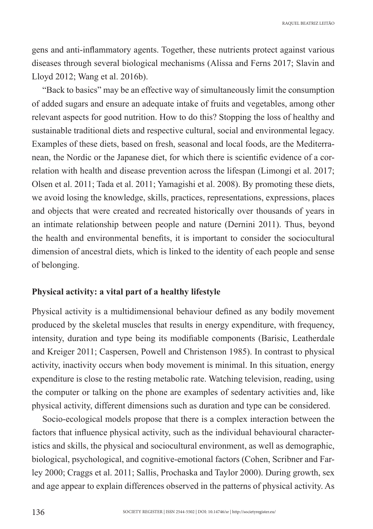gens and anti-inflammatory agents. Together, these nutrients protect against various diseases through several biological mechanisms (Alissa and Ferns 2017; Slavin and Lloyd 2012; Wang et al. 2016b).

"Back to basics" may be an effective way of simultaneously limit the consumption of added sugars and ensure an adequate intake of fruits and vegetables, among other relevant aspects for good nutrition. How to do this? Stopping the loss of healthy and sustainable traditional diets and respective cultural, social and environmental legacy. Examples of these diets, based on fresh, seasonal and local foods, are the Mediterranean, the Nordic or the Japanese diet, for which there is scientific evidence of a correlation with health and disease prevention across the lifespan (Limongi et al. 2017; Olsen et al. 2011; Tada et al. 2011; Yamagishi et al. 2008). By promoting these diets, we avoid losing the knowledge, skills, practices, representations, expressions, places and objects that were created and recreated historically over thousands of years in an intimate relationship between people and nature (Dernini 2011). Thus, beyond the health and environmental benefits, it is important to consider the sociocultural dimension of ancestral diets, which is linked to the identity of each people and sense of belonging.

#### **Physical activity: a vital part of a healthy lifestyle**

Physical activity is a multidimensional behaviour defined as any bodily movement produced by the skeletal muscles that results in energy expenditure, with frequency, intensity, duration and type being its modifiable components (Barisic, Leatherdale and Kreiger 2011; Caspersen, Powell and Christenson 1985). In contrast to physical activity, inactivity occurs when body movement is minimal. In this situation, energy expenditure is close to the resting metabolic rate. Watching television, reading, using the computer or talking on the phone are examples of sedentary activities and, like physical activity, different dimensions such as duration and type can be considered.

Socio-ecological models propose that there is a complex interaction between the factors that influence physical activity, such as the individual behavioural characteristics and skills, the physical and sociocultural environment, as well as demographic, biological, psychological, and cognitive-emotional factors (Cohen, Scribner and Farley 2000; Craggs et al. 2011; Sallis, Prochaska and Taylor 2000). During growth, sex and age appear to explain differences observed in the patterns of physical activity. As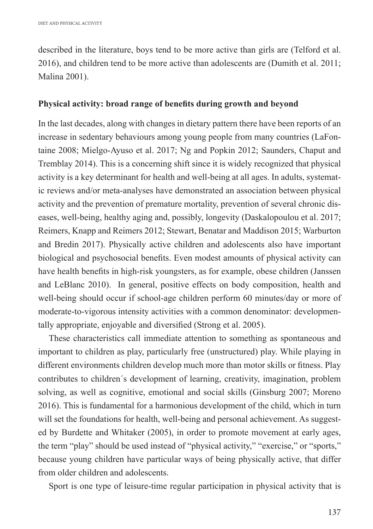described in the literature, boys tend to be more active than girls are (Telford et al. 2016), and children tend to be more active than adolescents are (Dumith et al. 2011; Malina 2001).

#### **Physical activity: broad range of benefits during growth and beyond**

In the last decades, along with changes in dietary pattern there have been reports of an increase in sedentary behaviours among young people from many countries (LaFontaine 2008; Mielgo-Ayuso et al. 2017; Ng and Popkin 2012; Saunders, Chaput and Tremblay 2014). This is a concerning shift since it is widely recognized that physical activity is a key determinant for health and well-being at all ages. In adults, systematic reviews and/or meta-analyses have demonstrated an association between physical activity and the prevention of premature mortality, prevention of several chronic diseases, well-being, healthy aging and, possibly, longevity (Daskalopoulou et al. 2017; Reimers, Knapp and Reimers 2012; Stewart, Benatar and Maddison 2015; Warburton and Bredin 2017). Physically active children and adolescents also have important biological and psychosocial benefits. Even modest amounts of physical activity can have health benefits in high-risk youngsters, as for example, obese children (Janssen and LeBlanc 2010). In general, positive effects on body composition, health and well-being should occur if school-age children perform 60 minutes/day or more of moderate-to-vigorous intensity activities with a common denominator: developmentally appropriate, enjoyable and diversified (Strong et al. 2005).

These characteristics call immediate attention to something as spontaneous and important to children as play, particularly free (unstructured) play. While playing in different environments children develop much more than motor skills or fitness. Play contributes to children´s development of learning, creativity, imagination, problem solving, as well as cognitive, emotional and social skills (Ginsburg 2007; Moreno 2016). This is fundamental for a harmonious development of the child, which in turn will set the foundations for health, well-being and personal achievement. As suggested by Burdette and Whitaker (2005), in order to promote movement at early ages, the term "play" should be used instead of "physical activity," "exercise," or "sports," because young children have particular ways of being physically active, that differ from older children and adolescents.

Sport is one type of leisure-time regular participation in physical activity that is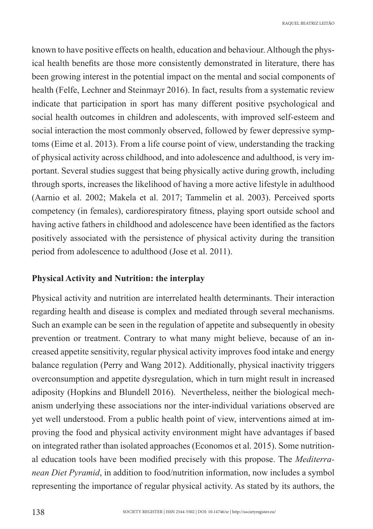known to have positive effects on health, education and behaviour. Although the physical health benefits are those more consistently demonstrated in literature, there has been growing interest in the potential impact on the mental and social components of health (Felfe, Lechner and Steinmayr 2016). In fact, results from a systematic review indicate that participation in sport has many different positive psychological and social health outcomes in children and adolescents, with improved self-esteem and social interaction the most commonly observed, followed by fewer depressive symptoms (Eime et al. 2013). From a life course point of view, understanding the tracking of physical activity across childhood, and into adolescence and adulthood, is very important. Several studies suggest that being physically active during growth, including through sports, increases the likelihood of having a more active lifestyle in adulthood (Aarnio et al. 2002; Makela et al. 2017; Tammelin et al. 2003). Perceived sports competency (in females), cardiorespiratory fitness, playing sport outside school and having active fathers in childhood and adolescence have been identified as the factors positively associated with the persistence of physical activity during the transition period from adolescence to adulthood (Jose et al. 2011).

#### **Physical Activity and Nutrition: the interplay**

Physical activity and nutrition are interrelated health determinants. Their interaction regarding health and disease is complex and mediated through several mechanisms. Such an example can be seen in the regulation of appetite and subsequently in obesity prevention or treatment. Contrary to what many might believe, because of an increased appetite sensitivity, regular physical activity improves food intake and energy balance regulation (Perry and Wang 2012). Additionally, physical inactivity triggers overconsumption and appetite dysregulation, which in turn might result in increased adiposity (Hopkins and Blundell 2016). Nevertheless, neither the biological mechanism underlying these associations nor the inter-individual variations observed are yet well understood. From a public health point of view, interventions aimed at improving the food and physical activity environment might have advantages if based on integrated rather than isolated approaches (Economos et al. 2015). Some nutritional education tools have been modified precisely with this propose. The *Mediterranean Diet Pyramid*, in addition to food/nutrition information, now includes a symbol representing the importance of regular physical activity. As stated by its authors, the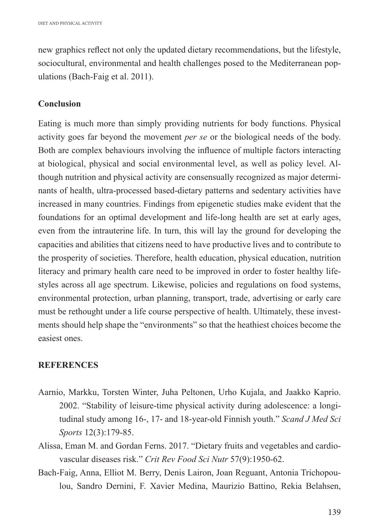new graphics reflect not only the updated dietary recommendations, but the lifestyle, sociocultural, environmental and health challenges posed to the Mediterranean populations (Bach-Faig et al. 2011).

### **Conclusion**

Eating is much more than simply providing nutrients for body functions. Physical activity goes far beyond the movement *per se* or the biological needs of the body. Both are complex behaviours involving the influence of multiple factors interacting at biological, physical and social environmental level, as well as policy level. Although nutrition and physical activity are consensually recognized as major determinants of health, ultra-processed based-dietary patterns and sedentary activities have increased in many countries. Findings from epigenetic studies make evident that the foundations for an optimal development and life-long health are set at early ages, even from the intrauterine life. In turn, this will lay the ground for developing the capacities and abilities that citizens need to have productive lives and to contribute to the prosperity of societies. Therefore, health education, physical education, nutrition literacy and primary health care need to be improved in order to foster healthy lifestyles across all age spectrum. Likewise, policies and regulations on food systems, environmental protection, urban planning, transport, trade, advertising or early care must be rethought under a life course perspective of health. Ultimately, these investments should help shape the "environments" so that the heathiest choices become the easiest ones.

#### **REFERENCES**

- Aarnio, Markku, Torsten Winter, Juha Peltonen, Urho Kujala, and Jaakko Kaprio. 2002. "Stability of leisure-time physical activity during adolescence: a longitudinal study among 16-, 17- and 18-year-old Finnish youth." *Scand J Med Sci Sports* 12(3):179-85.
- Alissa, Eman M. and Gordan Ferns. 2017. "Dietary fruits and vegetables and cardiovascular diseases risk." *Crit Rev Food Sci Nutr* 57(9):1950-62.
- Bach-Faig, Anna, Elliot M. Berry, Denis Lairon, Joan Reguant, Antonia Trichopoulou, Sandro Dernini, F. Xavier Medina, Maurizio Battino, Rekia Belahsen,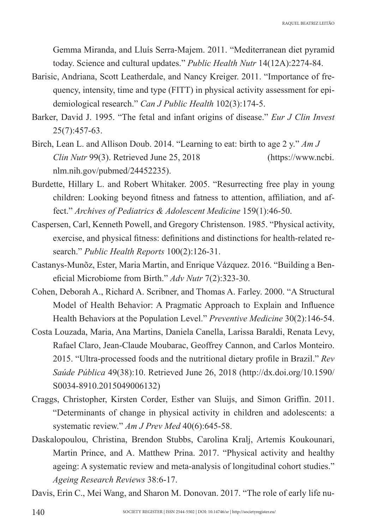Gemma Miranda, and Lluís Serra-Majem. 2011. "Mediterranean diet pyramid today. Science and cultural updates." *Public Health Nutr* 14(12A):2274-84.

- Barisic, Andriana, Scott Leatherdale, and Nancy Kreiger. 2011. "Importance of frequency, intensity, time and type (FITT) in physical activity assessment for epidemiological research." *Can J Public Health* 102(3):174-5.
- Barker, David J. 1995. "The fetal and infant origins of disease." *Eur J Clin Invest* 25(7):457-63.
- Birch, Lean L. and Allison Doub. 2014. "Learning to eat: birth to age 2 y." *Am J Clin Nutr* 99(3). Retrieved June 25, 2018 (https://www.ncbi. nlm.nih.gov/pubmed/24452235).
- Burdette, Hillary L. and Robert Whitaker. 2005. "Resurrecting free play in young children: Looking beyond fitness and fatness to attention, affiliation, and affect." *Archives of Pediatrics & Adolescent Medicine* 159(1):46-50.
- Caspersen, Carl, Kenneth Powell, and Gregory Christenson. 1985. "Physical activity, exercise, and physical fitness: definitions and distinctions for health-related research." *Public Health Reports* 100(2):126-31.
- Castanys-Munõz, Ester, Maria Martin, and Enrique Vázquez. 2016. "Building a Beneficial Microbiome from Birth." *Adv Nutr* 7(2):323-30.
- Cohen, Deborah A., Richard A. Scribner, and Thomas A. Farley. 2000. "A Structural Model of Health Behavior: A Pragmatic Approach to Explain and Influence Health Behaviors at the Population Level." *Preventive Medicine* 30(2):146-54.
- Costa Louzada, Maria, Ana Martins, Daniela Canella, Larissa Baraldi, Renata Levy, Rafael Claro, Jean-Claude Moubarac, Geoffrey Cannon, and Carlos Monteiro. 2015. "Ultra-processed foods and the nutritional dietary profile in Brazil." *Rev Saúde Pública* 49(38):10. Retrieved June 26, 2018 (http://dx.doi.org/10.1590/ S0034-8910.2015049006132)
- Craggs, Christopher, Kirsten Corder, Esther van Sluijs, and Simon Griffin. 2011. "Determinants of change in physical activity in children and adolescents: a systematic review." *Am J Prev Med* 40(6):645-58.
- Daskalopoulou, Christina, Brendon Stubbs, Carolina Kralj, Artemis Koukounari, Martin Prince, and A. Matthew Prina. 2017. "Physical activity and healthy ageing: A systematic review and meta-analysis of longitudinal cohort studies." *Ageing Research Reviews* 38:6-17.
- Davis, Erin C., Mei Wang, and Sharon M. Donovan. 2017. "The role of early life nu-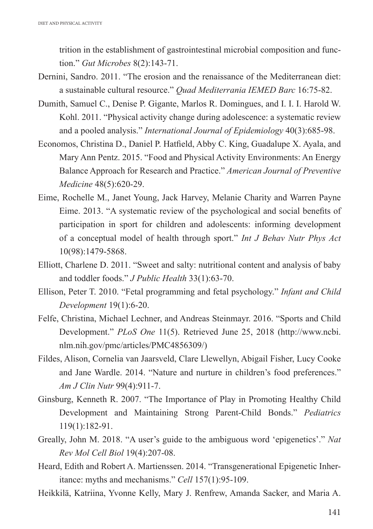trition in the establishment of gastrointestinal microbial composition and function." *Gut Microbes* 8(2):143-71.

- Dernini, Sandro. 2011. "The erosion and the renaissance of the Mediterranean diet: a sustainable cultural resource." *Quad Mediterrania IEMED Barc* 16:75-82.
- Dumith, Samuel C., Denise P. Gigante, Marlos R. Domingues, and I. I. I. Harold W. Kohl. 2011. "Physical activity change during adolescence: a systematic review and a pooled analysis." *International Journal of Epidemiology* 40(3):685-98.
- Economos, Christina D., Daniel P. Hatfield, Abby C. King, Guadalupe X. Ayala, and Mary Ann Pentz. 2015. "Food and Physical Activity Environments: An Energy Balance Approach for Research and Practice." *American Journal of Preventive Medicine* 48(5):620-29.
- Eime, Rochelle M., Janet Young, Jack Harvey, Melanie Charity and Warren Payne Eime. 2013. "A systematic review of the psychological and social benefits of participation in sport for children and adolescents: informing development of a conceptual model of health through sport." *Int J Behav Nutr Phys Act* 10(98):1479-5868.
- Elliott, Charlene D. 2011. "Sweet and salty: nutritional content and analysis of baby and toddler foods." *J Public Health* 33(1):63-70.
- Ellison, Peter T. 2010. "Fetal programming and fetal psychology." *Infant and Child Development* 19(1):6-20.
- Felfe, Christina, Michael Lechner, and Andreas Steinmayr. 2016. "Sports and Child Development." *PLoS One* 11(5). Retrieved June 25, 2018 (http://www.ncbi. nlm.nih.gov/pmc/articles/PMC4856309/)
- Fildes, Alison, Cornelia van Jaarsveld, Clare Llewellyn, Abigail Fisher, Lucy Cooke and Jane Wardle. 2014. "Nature and nurture in children's food preferences." *Am J Clin Nutr* 99(4):911-7.
- Ginsburg, Kenneth R. 2007. "The Importance of Play in Promoting Healthy Child Development and Maintaining Strong Parent-Child Bonds." *Pediatrics* 119(1):182-91.
- Greally, John M. 2018. "A user's guide to the ambiguous word 'epigenetics'." *Nat Rev Mol Cell Biol* 19(4):207-08.
- Heard, Edith and Robert A. Martienssen. 2014. "Transgenerational Epigenetic Inheritance: myths and mechanisms." *Cell* 157(1):95-109.
- Heikkilä, Katriina, Yvonne Kelly, Mary J. Renfrew, Amanda Sacker, and Maria A.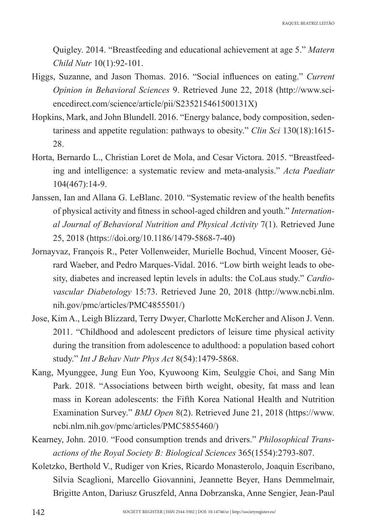Quigley. 2014. "Breastfeeding and educational achievement at age 5." *Matern Child Nutr* 10(1):92-101.

- Higgs, Suzanne, and Jason Thomas. 2016. "Social influences on eating." *Current Opinion in Behavioral Sciences* 9. Retrieved June 22, 2018 (http://www.sciencedirect.com/science/article/pii/S235215461500131X)
- Hopkins, Mark, and John Blundell. 2016. "Energy balance, body composition, sedentariness and appetite regulation: pathways to obesity." *Clin Sci* 130(18):1615- 28.
- Horta, Bernardo L., Christian Loret de Mola, and Cesar Victora. 2015. "Breastfeeding and intelligence: a systematic review and meta-analysis." *Acta Paediatr* 104(467):14-9.
- Janssen, Ian and Allana G. LeBlanc. 2010. "Systematic review of the health benefits of physical activity and fitness in school-aged children and youth." *International Journal of Behavioral Nutrition and Physical Activity* 7(1). Retrieved June 25, 2018 (https://doi.org/10.1186/1479-5868-7-40)
- Jornayvaz, François R., Peter Vollenweider, Murielle Bochud, Vincent Mooser, Gérard Waeber, and Pedro Marques-Vidal. 2016. "Low birth weight leads to obesity, diabetes and increased leptin levels in adults: the CoLaus study." *Cardiovascular Diabetology* 15:73. Retrieved June 20, 2018 (http://www.ncbi.nlm. nih.gov/pmc/articles/PMC4855501/)
- Jose, Kim A., Leigh Blizzard, Terry Dwyer, Charlotte McKercher and Alison J. Venn. 2011. "Childhood and adolescent predictors of leisure time physical activity during the transition from adolescence to adulthood: a population based cohort study." *Int J Behav Nutr Phys Act* 8(54):1479-5868.
- Kang, Myunggee, Jung Eun Yoo, Kyuwoong Kim, Seulggie Choi, and Sang Min Park. 2018. "Associations between birth weight, obesity, fat mass and lean mass in Korean adolescents: the Fifth Korea National Health and Nutrition Examination Survey." *BMJ Open* 8(2). Retrieved June 21, 2018 (https://www. ncbi.nlm.nih.gov/pmc/articles/PMC5855460/)
- Kearney, John. 2010. "Food consumption trends and drivers." *Philosophical Transactions of the Royal Society B: Biological Sciences* 365(1554):2793-807.
- Koletzko, Berthold V., Rudiger von Kries, Ricardo Monasterolo, Joaquin Escribano, Silvia Scaglioni, Marcello Giovannini, Jeannette Beyer, Hans Demmelmair, Brigitte Anton, Dariusz Gruszfeld, Anna Dobrzanska, Anne Sengier, Jean-Paul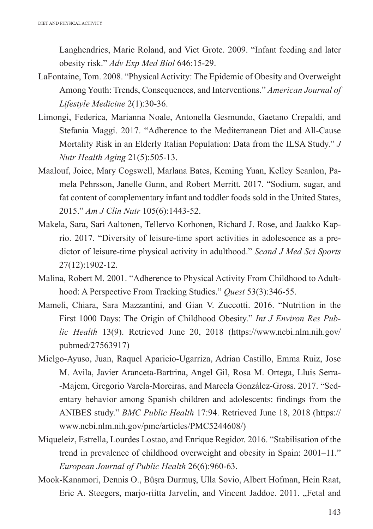Langhendries, Marie Roland, and Viet Grote. 2009. "Infant feeding and later obesity risk." *Adv Exp Med Biol* 646:15-29.

- LaFontaine, Tom. 2008. "Physical Activity: The Epidemic of Obesity and Overweight Among Youth: Trends, Consequences, and Interventions." *American Journal of Lifestyle Medicine* 2(1):30-36.
- Limongi, Federica, Marianna Noale, Antonella Gesmundo, Gaetano Crepaldi, and Stefania Maggi. 2017. "Adherence to the Mediterranean Diet and All-Cause Mortality Risk in an Elderly Italian Population: Data from the ILSA Study." *J Nutr Health Aging* 21(5):505-13.
- Maalouf, Joice, Mary Cogswell, Marlana Bates, Keming Yuan, Kelley Scanlon, Pamela Pehrsson, Janelle Gunn, and Robert Merritt. 2017. "Sodium, sugar, and fat content of complementary infant and toddler foods sold in the United States, 2015." *Am J Clin Nutr* 105(6):1443-52.
- Makela, Sara, Sari Aaltonen, Tellervo Korhonen, Richard J. Rose, and Jaakko Kaprio. 2017. "Diversity of leisure-time sport activities in adolescence as a predictor of leisure-time physical activity in adulthood." *Scand J Med Sci Sports* 27(12):1902-12.
- Malina, Robert M. 2001. "Adherence to Physical Activity From Childhood to Adulthood: A Perspective From Tracking Studies." *Quest* 53(3):346-55.
- Mameli, Chiara, Sara Mazzantini, and Gian V. Zuccotti. 2016. "Nutrition in the First 1000 Days: The Origin of Childhood Obesity." *Int J Environ Res Public Health* 13(9). Retrieved June 20, 2018 (https://www.ncbi.nlm.nih.gov/ pubmed/27563917)
- Mielgo-Ayuso, Juan, Raquel Aparicio-Ugarriza, Adrian Castillo, Emma Ruiz, Jose M. Avila, Javier Aranceta-Bartrina, Angel Gil, Rosa M. Ortega, Lluis Serra- -Majem, Gregorio Varela-Moreiras, and Marcela González-Gross. 2017. "Sedentary behavior among Spanish children and adolescents: findings from the ANIBES study." *BMC Public Health* 17:94. Retrieved June 18, 2018 (https:// www.ncbi.nlm.nih.gov/pmc/articles/PMC5244608/)
- Miqueleiz, Estrella, Lourdes Lostao, and Enrique Regidor. 2016. "Stabilisation of the trend in prevalence of childhood overweight and obesity in Spain: 2001–11." *European Journal of Public Health* 26(6):960-63.
- Mook-Kanamori, Dennis O., Büşra Durmuş, Ulla Sovio, Albert Hofman, Hein Raat, Eric A. Steegers, marjo-riitta Jarvelin, and Vincent Jaddoe. 2011. "Fetal and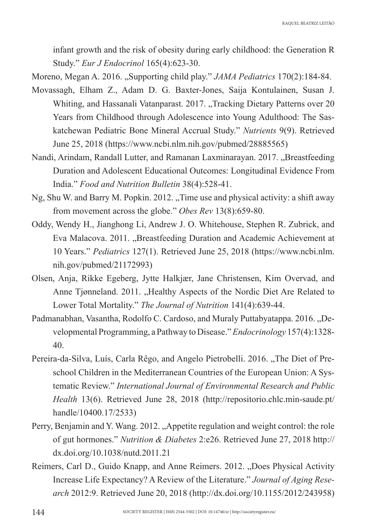infant growth and the risk of obesity during early childhood: the Generation R Study." *Eur J Endocrinol* 165(4):623-30.

Moreno, Megan A. 2016. "Supporting child play." *JAMA Pediatrics* 170(2):184-84.

- Movassagh, Elham Z., Adam D. G. Baxter-Jones, Saija Kontulainen, Susan J. Whiting, and Hassanali Vatanparast. 2017. "Tracking Dietary Patterns over 20 Years from Childhood through Adolescence into Young Adulthood: The Saskatchewan Pediatric Bone Mineral Accrual Study." *Nutrients* 9(9). Retrieved June 25, 2018 (https://www.ncbi.nlm.nih.gov/pubmed/28885565)
- Nandi, Arindam, Randall Lutter, and Ramanan Laxminarayan. 2017. "Breastfeeding Duration and Adolescent Educational Outcomes: Longitudinal Evidence From India." *Food and Nutrition Bulletin* 38(4):528-41.
- Ng, Shu W. and Barry M. Popkin. 2012. "Time use and physical activity: a shift away from movement across the globe." *Obes Rev* 13(8):659-80.
- Oddy, Wendy H., Jianghong Li, Andrew J. O. Whitehouse, Stephen R. Zubrick, and Eva Malacova. 2011. "Breastfeeding Duration and Academic Achievement at 10 Years." *Pediatrics* 127(1). Retrieved June 25, 2018 (https://www.ncbi.nlm. nih.gov/pubmed/21172993)
- Olsen, Anja, Rikke Egeberg, Jytte Halkjær, Jane Christensen, Kim Overvad, and Anne Tjønneland. 2011. "Healthy Aspects of the Nordic Diet Are Related to Lower Total Mortality." *The Journal of Nutrition* 141(4):639-44.
- Padmanabhan, Vasantha, Rodolfo C. Cardoso, and Muraly Puttabyatappa. 2016. "Developmental Programming, a Pathway to Disease." *Endocrinology* 157(4):1328- 40.
- Pereira-da-Silva, Luís, Carla Rêgo, and Angelo Pietrobelli. 2016. "The Diet of Preschool Children in the Mediterranean Countries of the European Union: A Systematic Review." *International Journal of Environmental Research and Public Health* 13(6). Retrieved June 28, 2018 (http://repositorio.chlc.min-saude.pt/ handle/10400.17/2533)
- Perry, Benjamin and Y. Wang. 2012. "Appetite regulation and weight control: the role of gut hormones." *Nutrition & Diabetes* 2:e26. Retrieved June 27, 2018 http:// dx.doi.org/10.1038/nutd.2011.21
- Reimers, Carl D., Guido Knapp, and Anne Reimers. 2012. "Does Physical Activity Increase Life Expectancy? A Review of the Literature." *Journal of Aging Research* 2012:9. Retrieved June 20, 2018 (http://dx.doi.org/10.1155/2012/243958)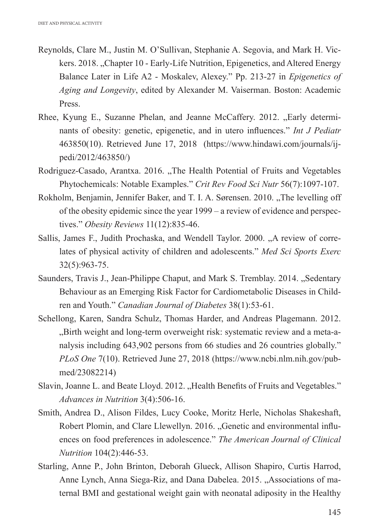- Reynolds, Clare M., Justin M. O'Sullivan, Stephanie A. Segovia, and Mark H. Vickers. 2018. "Chapter 10 - Early-Life Nutrition, Epigenetics, and Altered Energy Balance Later in Life A2 - Moskalev, Alexey." Pp. 213-27 in *Epigenetics of Aging and Longevity*, edited by Alexander M. Vaiserman. Boston: Academic Press.
- Rhee, Kyung E., Suzanne Phelan, and Jeanne McCaffery. 2012. ..Early determinants of obesity: genetic, epigenetic, and in utero influences." *Int J Pediatr* 463850(10). Retrieved June 17, 2018 (https://www.hindawi.com/journals/ijpedi/2012/463850/)
- Rodriguez-Casado, Arantxa. 2016. "The Health Potential of Fruits and Vegetables Phytochemicals: Notable Examples." *Crit Rev Food Sci Nutr* 56(7):1097-107.
- Rokholm, Benjamin, Jennifer Baker, and T. I. A. Sørensen. 2010. "The levelling off of the obesity epidemic since the year 1999 – a review of evidence and perspectives." *Obesity Reviews* 11(12):835-46.
- Sallis, James F., Judith Prochaska, and Wendell Taylor. 2000. "A review of correlates of physical activity of children and adolescents." *Med Sci Sports Exerc* 32(5):963-75.
- Saunders, Travis J., Jean-Philippe Chaput, and Mark S. Tremblay. 2014. "Sedentary Behaviour as an Emerging Risk Factor for Cardiometabolic Diseases in Children and Youth." *Canadian Journal of Diabetes* 38(1):53-61.
- Schellong, Karen, Sandra Schulz, Thomas Harder, and Andreas Plagemann. 2012. "Birth weight and long-term overweight risk: systematic review and a meta-analysis including 643,902 persons from 66 studies and 26 countries globally." *PLoS One* 7(10). Retrieved June 27, 2018 (https://www.ncbi.nlm.nih.gov/pubmed/23082214)
- Slavin, Joanne L. and Beate Lloyd. 2012. "Health Benefits of Fruits and Vegetables." *Advances in Nutrition* 3(4):506-16.
- Smith, Andrea D., Alison Fildes, Lucy Cooke, Moritz Herle, Nicholas Shakeshaft, Robert Plomin, and Clare Llewellyn. 2016. "Genetic and environmental influences on food preferences in adolescence." *The American Journal of Clinical Nutrition* 104(2):446-53.
- Starling, Anne P., John Brinton, Deborah Glueck, Allison Shapiro, Curtis Harrod, Anne Lynch, Anna Siega-Riz, and Dana Dabelea. 2015. "Associations of maternal BMI and gestational weight gain with neonatal adiposity in the Healthy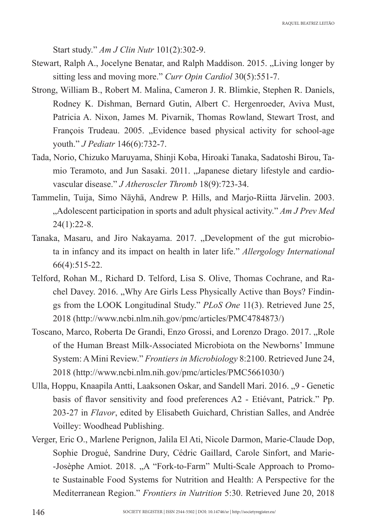Start study." *Am J Clin Nutr* 101(2):302-9.

- Stewart, Ralph A., Jocelyne Benatar, and Ralph Maddison. 2015. "Living longer by sitting less and moving more." *Curr Opin Cardiol* 30(5):551-7.
- Strong, William B., Robert M. Malina, Cameron J. R. Blimkie, Stephen R. Daniels, Rodney K. Dishman, Bernard Gutin, Albert C. Hergenroeder, Aviva Must, Patricia A. Nixon, James M. Pivarnik, Thomas Rowland, Stewart Trost, and François Trudeau. 2005. "Evidence based physical activity for school-age youth." *J Pediatr* 146(6):732-7.
- Tada, Norio, Chizuko Maruyama, Shinji Koba, Hiroaki Tanaka, Sadatoshi Birou, Tamio Teramoto, and Jun Sasaki. 2011. "Japanese dietary lifestyle and cardiovascular disease." *J Atheroscler Thromb* 18(9):723-34.
- Tammelin, Tuija, Simo Näyhä, Andrew P. Hills, and Marjo-Riitta Järvelin. 2003. "Adolescent participation in sports and adult physical activity." *Am J Prev Med* 24(1):22-8.
- Tanaka, Masaru, and Jiro Nakayama. 2017. "Development of the gut microbiota in infancy and its impact on health in later life." *Allergology International* 66(4):515-22.
- Telford, Rohan M., Richard D. Telford, Lisa S. Olive, Thomas Cochrane, and Rachel Davey. 2016. "Why Are Girls Less Physically Active than Boys? Findings from the LOOK Longitudinal Study." *PLoS One* 11(3). Retrieved June 25, 2018 (http://www.ncbi.nlm.nih.gov/pmc/articles/PMC4784873/)
- Toscano, Marco, Roberta De Grandi, Enzo Grossi, and Lorenzo Drago. 2017. "Role of the Human Breast Milk-Associated Microbiota on the Newborns' Immune System: A Mini Review." *Frontiers in Microbiology* 8:2100. Retrieved June 24, 2018 (http://www.ncbi.nlm.nih.gov/pmc/articles/PMC5661030/)
- Ulla, Hoppu, Knaapila Antti, Laaksonen Oskar, and Sandell Mari. 2016. "9 Genetic basis of flavor sensitivity and food preferences A2 - Etiévant, Patrick." Pp. 203-27 in *Flavor*, edited by Elisabeth Guichard, Christian Salles, and Andrée Voilley: Woodhead Publishing.
- Verger, Eric O., Marlene Perignon, Jalila El Ati, Nicole Darmon, Marie-Claude Dop, Sophie Drogué, Sandrine Dury, Cédric Gaillard, Carole Sinfort, and Marie- -Josèphe Amiot. 2018. "A "Fork-to-Farm" Multi-Scale Approach to Promote Sustainable Food Systems for Nutrition and Health: A Perspective for the Mediterranean Region." *Frontiers in Nutrition* 5:30. Retrieved June 20, 2018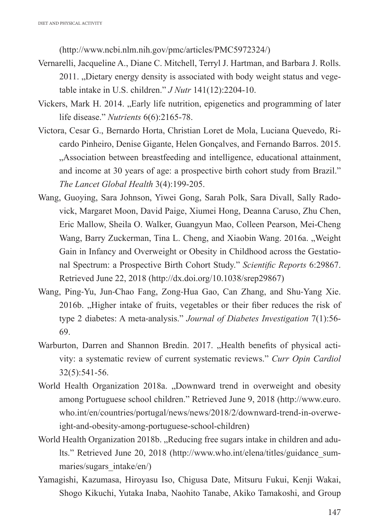(http://www.ncbi.nlm.nih.gov/pmc/articles/PMC5972324/)

- Vernarelli, Jacqueline A., Diane C. Mitchell, Terryl J. Hartman, and Barbara J. Rolls. 2011. "Dietary energy density is associated with body weight status and vegetable intake in U.S. children." *J Nutr* 141(12):2204-10.
- Vickers, Mark H. 2014. "Early life nutrition, epigenetics and programming of later life disease." *Nutrients* 6(6):2165-78.
- Victora, Cesar G., Bernardo Horta, Christian Loret de Mola, Luciana Quevedo, Ricardo Pinheiro, Denise Gigante, Helen Gonçalves, and Fernando Barros. 2015. "Association between breastfeeding and intelligence, educational attainment, and income at 30 years of age: a prospective birth cohort study from Brazil." *The Lancet Global Health* 3(4):199-205.
- Wang, Guoying, Sara Johnson, Yiwei Gong, Sarah Polk, Sara Divall, Sally Radovick, Margaret Moon, David Paige, Xiumei Hong, Deanna Caruso, Zhu Chen, Eric Mallow, Sheila O. Walker, Guangyun Mao, Colleen Pearson, Mei-Cheng Wang, Barry Zuckerman, Tina L. Cheng, and Xiaobin Wang, 2016a. "Weight Gain in Infancy and Overweight or Obesity in Childhood across the Gestational Spectrum: a Prospective Birth Cohort Study." *Scientific Reports* 6:29867. Retrieved June 22, 2018 (http://dx.doi.org/10.1038/srep29867)
- Wang, Ping‐Yu, Jun‐Chao Fang, Zong‐Hua Gao, Can Zhang, and Shu‐Yang Xie. 2016b. "Higher intake of fruits, vegetables or their fiber reduces the risk of type 2 diabetes: A meta‐analysis." *Journal of Diabetes Investigation* 7(1):56- 69.
- Warburton, Darren and Shannon Bredin. 2017. "Health benefits of physical activity: a systematic review of current systematic reviews." *Curr Opin Cardiol* 32(5):541-56.
- World Health Organization 2018a. "Downward trend in overweight and obesity among Portuguese school children." Retrieved June 9, 2018 (http://www.euro. who.int/en/countries/portugal/news/news/2018/2/downward-trend-in-overweight-and-obesity-among-portuguese-school-children)
- World Health Organization 2018b. "Reducing free sugars intake in children and adults." Retrieved June 20, 2018 (http://www.who.int/elena/titles/guidance\_summaries/sugars\_intake/en/)
- Yamagishi, Kazumasa, Hiroyasu Iso, Chigusa Date, Mitsuru Fukui, Kenji Wakai, Shogo Kikuchi, Yutaka Inaba, Naohito Tanabe, Akiko Tamakoshi, and Group